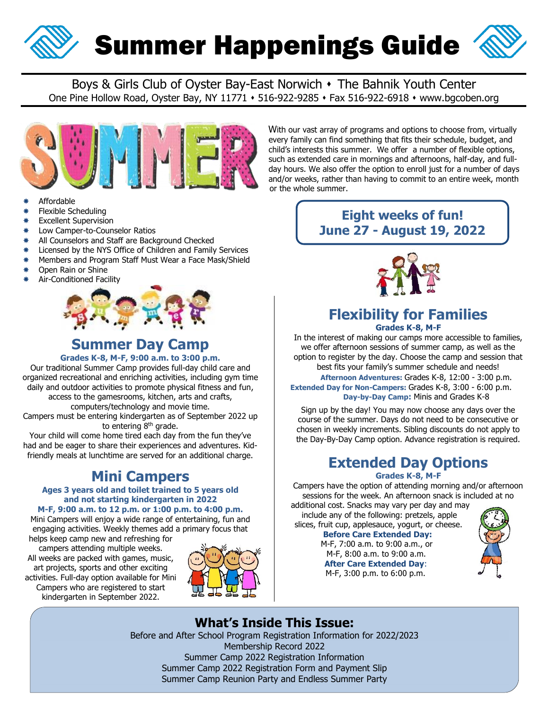

# Summer Happenings Guide



Boys & Girls Club of Oyster Bay-East Norwich • The Bahnik Youth Center One Pine Hollow Road, Oyster Bay, NY 11771 • 516-922-9285 • Fax 516-922-6918 • www.bgcoben.org



- Affordable
- Flexible Scheduling
- Excellent Supervision
- Low Camper-to-Counselor Ratios
- \* All Counselors and Staff are Background Checked
- \* Licensed by the NYS Office of Children and Family Services
- \* Members and Program Staff Must Wear a Face Mask/Shield
- Open Rain or Shine
- Air-Conditioned Facility



### **Summer Day Camp**

#### **Grades K-8, M-F, 9:00 a.m. to 3:00 p.m.**

Our traditional Summer Camp provides full-day child care and organized recreational and enriching activities, including gym time daily and outdoor activities to promote physical fitness and fun, access to the gamesrooms, kitchen, arts and crafts,

computers/technology and movie time. Campers must be entering kindergarten as of September 2022 up

to entering 8<sup>th</sup> grade.

Your child will come home tired each day from the fun they've had and be eager to share their experiences and adventures. Kidfriendly meals at lunchtime are served for an additional charge.

### **Mini Campers**

### **Ages 3 years old and toilet trained to 5 years old and not starting kindergarten in 2022**

**M-F, 9:00 a.m. to 12 p.m. or 1:00 p.m. to 4:00 p.m.** Mini Campers will enjoy a wide range of entertaining, fun and engaging activities. Weekly themes add a primary focus that

helps keep camp new and refreshing for campers attending multiple weeks. All weeks are packed with games, music, art projects, sports and other exciting activities. Full-day option available for Mini Campers who are registered to start kindergarten in September 2022.



#### With our vast array of programs and options to choose from, virtually every family can find something that fits their schedule, budget, and child's interests this summer. We offer a number of flexible options, such as extended care in mornings and afternoons, half-day, and full day hours. We also offer the option to enroll just for a number of days and/or weeks, rather than having to commit to an entire week, month or the whole summer.

### **Eight weeks of fun! June 27 - August 19, 2022**



# **Flexibility for Families**

**Grades K-8, M-F**

In the interest of making our camps more accessible to families, we offer afternoon sessions of summer camp, as well as the option to register by the day. Choose the camp and session that best fits your family's summer schedule and needs!

**Afternoon Adventures:** Grades K-8, 12:00 - 3:00 p.m. **Extended Day for Non-Campers:** Grades K-8, 3:00 - 6:00 p.m. **Day-by-Day Camp:** Minis and Grades K-8

Sign up by the day! You may now choose any days over the course of the summer. Days do not need to be consecutive or chosen in weekly increments. Sibling discounts do not apply to the Day-By-Day Camp option. Advance registration is required.

## **Extended Day Options**

#### **Grades K-8, M-F**

Campers have the option of attending morning and/or afternoon sessions for the week. An afternoon snack is included at no

additional cost. Snacks may vary per day and may include any of the following: pretzels, apple slices, fruit cup, applesauce, yogurt, or cheese. **Before Care Extended Day:**

M-F, 7:00 a.m. to 9:00 a.m., or M-F, 8:00 a.m. to 9:00 a.m. **After Care Extended Day**: M-F, 3:00 p.m. to 6:00 p.m.



### **What's Inside This Issue:**

Before and After School Program Registration Information for 2022/2023 Membership Record 2022 Summer Camp 2022 Registration Information Summer Camp 2022 Registration Form and Payment Slip Summer Camp Reunion Party and Endless Summer Party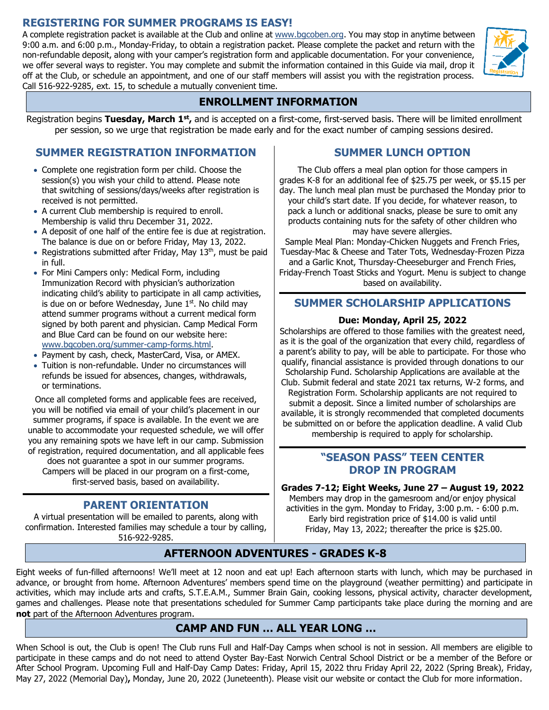### **REGISTERING FOR SUMMER PROGRAMS IS EASY!**

A complete registration packet is available at the Club and online at www.bgcoben.org. You may stop in anytime between 9:00 a.m. and 6:00 p.m., Monday-Friday, to obtain a registration packet. Please complete the packet and return with the non-refundable deposit, along with your camper's registration form and applicable documentation. For your convenience, we offer several ways to register. You may complete and submit the information contained in this Guide via mail, drop it off at the Club, or schedule an appointment, and one of our staff members will assist you with the registration process. Call 516-922-9285, ext. 15, to schedule a mutually convenient time.



Registration begins Tuesday, March 1<sup>st</sup>, and is accepted on a first-come, first-served basis. There will be limited enrollment per session, so we urge that registration be made early and for the exact number of camping sessions desired.

### **SUMMER REGISTRATION INFORMATION**

- Complete one registration form per child. Choose the session(s) you wish your child to attend. Please note that switching of sessions/days/weeks after registration is received is not permitted.
- A current Club membership is required to enroll. Membership is valid thru December 31, 2022.
- A deposit of one half of the entire fee is due at registration. The balance is due on or before Friday, May 13, 2022.
- Registrations submitted after Friday, May 13<sup>th</sup>, must be paid in full.
- For Mini Campers only: Medical Form, including Immunization Record with physician's authorization indicating child's ability to participate in all camp activities, is due on or before Wednesday, June  $1<sup>st</sup>$ . No child may attend summer programs without a current medical form signed by both parent and physician. Camp Medical Form and Blue Card can be found on our website here: [www.bgcoben.org/summer-camp-forms.html.](http://www.bgcoben.org/summer-camp-forms.html)
- Payment by cash, check, MasterCard, Visa, or AMEX.
- Tuition is non-refundable. Under no circumstances will refunds be issued for absences, changes, withdrawals, or terminations.

Once all completed forms and applicable fees are received, you will be notified via email of your child's placement in our summer programs, if space is available. In the event we are unable to accommodate your requested schedule, we will offer you any remaining spots we have left in our camp. Submission of registration, required documentation, and all applicable fees

does not guarantee a spot in our summer programs. Campers will be placed in our program on a first-come, first-served basis, based on availability.

### **PARENT ORIENTATION**

A virtual presentation will be emailed to parents, along with confirmation. Interested families may schedule a tour by calling, 516-922-9285.

### **SUMMER LUNCH OPTION**

The Club offers a meal plan option for those campers in grades K-8 for an additional fee of \$25.75 per week, or \$5.15 per day. The lunch meal plan must be purchased the Monday prior to your child's start date. If you decide, for whatever reason, to pack a lunch or additional snacks, please be sure to omit any products containing nuts for the safety of other children who may have severe allergies.

Sample Meal Plan: Monday-Chicken Nuggets and French Fries, Tuesday-Mac & Cheese and Tater Tots, Wednesday-Frozen Pizza and a Garlic Knot, Thursday-Cheeseburger and French Fries, Friday-French Toast Sticks and Yogurt. Menu is subject to change based on availability.

### **SUMMER SCHOLARSHIP APPLICATIONS**

### **Due: Monday, April 25, 2022**

Scholarships are offered to those families with the greatest need, as it is the goal of the organization that every child, regardless of a parent's ability to pay, will be able to participate. For those who qualify, financial assistance is provided through donations to our Scholarship Fund. Scholarship Applications are available at the Club. Submit federal and state 2021 tax returns, W-2 forms, and Registration Form. Scholarship applicants are not required to submit a deposit. Since a limited number of scholarships are available, it is strongly recommended that completed documents be submitted on or before the application deadline. A valid Club membership is required to apply for scholarship.

### **"SEASON PASS" TEEN CENTER DROP IN PROGRAM**

**Grades 7-12; Eight Weeks, June 27 – August 19, 2022**

Members may drop in the gamesroom and/or enjoy physical activities in the gym. Monday to Friday, 3:00 p.m. - 6:00 p.m. Early bird registration price of \$14.00 is valid until Friday, May 13, 2022; thereafter the price is \$25.00.

### **AFTERNOON ADVENTURES - GRADES K-8**

Eight weeks of fun-filled afternoons! We'll meet at 12 noon and eat up! Each afternoon starts with lunch, which may be purchased in advance, or brought from home. Afternoon Adventures' members spend time on the playground (weather permitting) and participate in activities, which may include arts and crafts, S.T.E.A.M., Summer Brain Gain, cooking lessons, physical activity, character development, games and challenges. Please note that presentations scheduled for Summer Camp participants take place during the morning and are **not** part of the Afternoon Adventures program.

### **CAMP AND FUN … ALL YEAR LONG …**

When School is out, the Club is open! The Club runs Full and Half-Day Camps when school is not in session. All members are eligible to participate in these camps and do not need to attend Oyster Bay-East Norwich Central School District or be a member of the Before or After School Program. Upcoming Full and Half-Day Camp Dates: Friday, April 15, 2022 thru Friday April 22, 2022 (Spring Break), Friday, May 27, 2022 (Memorial Day)**,** Monday, June 20, 2022 (Juneteenth). Please visit our website or contact the Club for more information.

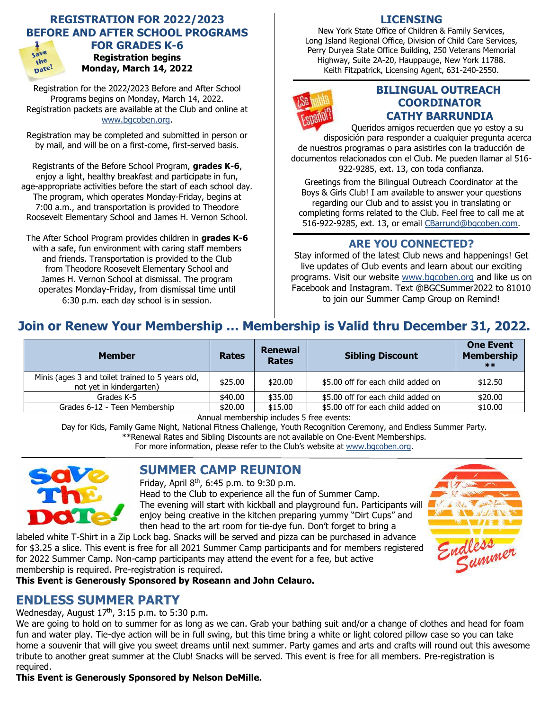### **REGISTRATION FOR 2022/2023 BEFORE AND AFTER SCHOOL PROGRAMS**



### **FOR GRADES K-6 Registration begins Monday, March 14, 2022**

Registration for the 2022/2023 Before and After School Programs begins on Monday, March 14, 2022. Registration packets are available at the Club and online at [www.bgcoben.org.](http://www.bgcoben.org/)

Registration may be completed and submitted in person or by mail, and will be on a first-come, first-served basis.

Registrants of the Before School Program, **grades K-6**, enjoy a light, healthy breakfast and participate in fun, age-appropriate activities before the start of each school day. The program, which operates Monday-Friday, begins at 7:00 a.m., and transportation is provided to Theodore Roosevelt Elementary School and James H. Vernon School.

The After School Program provides children in **grades K-6** with a safe, fun environment with caring staff members and friends. Transportation is provided to the Club from Theodore Roosevelt Elementary School and James H. Vernon School at dismissal. The program operates Monday-Friday, from dismissal time until 6:30 p.m. each day school is in session.

### **LICENSING**

New York State Office of Children & Family Services, Long Island Regional Office, Division of Child Care Services, Perry Duryea State Office Building, 250 Veterans Memorial Highway, Suite 2A-20, Hauppauge, New York 11788. Keith Fitzpatrick, Licensing Agent, 631-240-2550.



### **BILINGUAL OUTREACH COORDINATOR CATHY BARRUNDIA**

Queridos amigos recuerden que yo estoy a su disposición para responder a cualquier pregunta acerca de nuestros programas o para asistirles con la traducción de documentos relacionados con el Club. Me pueden llamar al 516- 922-9285, ext. 13, con toda confianza.

Greetings from the Bilingual Outreach Coordinator at the Boys & Girls Club! I am available to answer your questions regarding our Club and to assist you in translating or completing forms related to the Club. Feel free to call me at 516-922-9285, ext. 13, or email [CBarrund@bgcoben.com.](mailto:CBarrund@bgcoben.com)

### **ARE YOU CONNECTED?**

Stay informed of the latest Club news and happenings! Get live updates of Club events and learn about our exciting programs. Visit our website [www.bgcoben.org](http://www.bgcoben.org/) and like us on Facebook and Instagram. Text @BGCSummer2022 to 81010 to join our Summer Camp Group on Remind!

### **Join or Renew Your Membership … Membership is Valid thru December 31, 2022.**

| <b>Member</b>                                                                | <b>Rates</b> | <b>Renewal</b><br><b>Rates</b> | <b>Sibling Discount</b>            | <b>One Event</b><br><b>Membership</b><br>$***$ |
|------------------------------------------------------------------------------|--------------|--------------------------------|------------------------------------|------------------------------------------------|
| Minis (ages 3 and toilet trained to 5 years old,<br>not yet in kindergarten) | \$25.00      | \$20.00                        | \$5.00 off for each child added on | \$12.50                                        |
| Grades K-5                                                                   | \$40.00      | \$35.00                        | \$5.00 off for each child added on | \$20.00                                        |
| Grades 6-12 - Teen Membership                                                | \$20.00      | \$15.00                        | \$5.00 off for each child added on | \$10.00                                        |

Annual membership includes 5 free events:

Day for Kids, Family Game Night, National Fitness Challenge, Youth Recognition Ceremony, and Endless Summer Party.

\*\*Renewal Rates and Sibling Discounts are not available on One-Event Memberships.

For more information, please refer to the Club's website at [www.bgcoben.org.](http://www.bgcoben.org/)



### **SUMMER CAMP REUNION**

Friday, April 8th, 6:45 p.m. to 9:30 p.m.

Head to the Club to experience all the fun of Summer Camp. The evening will start with kickball and playground fun. Participants will enjoy being creative in the kitchen preparing yummy "Dirt Cups" and then head to the art room for tie-dye fun. Don't forget to bring a

labeled white T-Shirt in a Zip Lock bag. Snacks will be served and pizza can be purchased in advance for \$3.25 a slice. This event is free for all 2021 Summer Camp participants and for members registered for 2022 Summer Camp. Non-camp participants may attend the event for a fee, but active membership is required. Pre-registration is required.

**This Event is Generously Sponsored by Roseann and John Celauro.**

### **ENDLESS SUMMER PARTY**

### Wednesday, August  $17<sup>th</sup>$ , 3:15 p.m. to 5:30 p.m.

We are going to hold on to summer for as long as we can. Grab your bathing suit and/or a change of clothes and head for foam fun and water play. Tie-dye action will be in full swing, but this time bring a white or light colored pillow case so you can take home a souvenir that will give you sweet dreams until next summer. Party games and arts and crafts will round out this awesome tribute to another great summer at the Club! Snacks will be served. This event is free for all members. Pre-registration is required.

**This Event is Generously Sponsored by Nelson DeMille.**

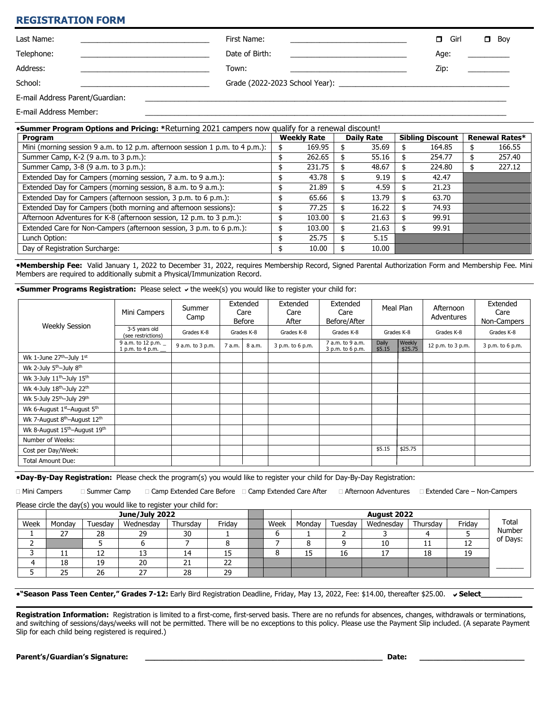#### **REGISTRATION FORM**

| Last Name:                      | First Name:                                                                                                                                                                                                                            | Girl<br>π. | Boy<br>σ |
|---------------------------------|----------------------------------------------------------------------------------------------------------------------------------------------------------------------------------------------------------------------------------------|------------|----------|
| Telephone:                      | Date of Birth:<br><u> 1989 - Jan Barnett, fransk politik (d. 1989)</u>                                                                                                                                                                 | Age:       |          |
| Address:                        | Town:<br>the control of the control of the control of the control of the control of the control of the control of the control of the control of the control of the control of the control of the control of the control of the control | Zip:       |          |
| School:                         |                                                                                                                                                                                                                                        |            |          |
| E-mail Address Parent/Guardian: |                                                                                                                                                                                                                                        |            |          |

E-mail Address Member:

| <b>•Summer Program Options and Pricing: *Returning 2021 campers now qualify for a renewal discount!</b> |    |                    |  |                   |  |                         |    |                |
|---------------------------------------------------------------------------------------------------------|----|--------------------|--|-------------------|--|-------------------------|----|----------------|
| Program                                                                                                 |    | <b>Weekly Rate</b> |  | <b>Daily Rate</b> |  | <b>Sibling Discount</b> |    | Renewal Rates* |
| Mini (morning session 9 a.m. to 12 p.m. afternoon session 1 p.m. to 4 p.m.):                            |    | 169.95             |  | 35.69             |  | 164.85                  |    | 166.55         |
| Summer Camp, K-2 (9 a.m. to 3 p.m.):                                                                    |    | 262.65             |  | 55.16             |  | 254.77                  |    | 257.40         |
| Summer Camp, 3-8 (9 a.m. to 3 p.m.):                                                                    |    | 231.75             |  | 48.67             |  | 224.80                  | \$ | 227.12         |
| Extended Day for Campers (morning session, 7 a.m. to 9 a.m.):                                           | эħ | 43.78              |  | 9.19              |  | 42.47                   |    |                |
| Extended Day for Campers (morning session, 8 a.m. to 9 a.m.):                                           |    | 21.89              |  | 4.59              |  | 21.23                   |    |                |
| Extended Day for Campers (afternoon session, 3 p.m. to 6 p.m.):                                         |    | 65.66              |  | 13.79             |  | 63.70                   |    |                |
| Extended Day for Campers (both morning and afternoon sessions):                                         |    | 77.25              |  | 16.22             |  | 74.93                   |    |                |
| Afternoon Adventures for K-8 (afternoon session, 12 p.m. to 3 p.m.):                                    |    | 103.00             |  | 21.63             |  | 99.91                   |    |                |
| Extended Care for Non-Campers (afternoon session, 3 p.m. to 6 p.m.):                                    |    | 103.00             |  | 21.63             |  | 99.91                   |    |                |
| Lunch Option:                                                                                           |    | 25.75              |  | 5.15              |  |                         |    |                |
| Day of Registration Surcharge:                                                                          |    | 10.00              |  | 10.00             |  |                         |    |                |

**Membership Fee:** Valid January 1, 2022 to December 31, 2022, requires Membership Record, Signed Parental Authorization Form and Membership Fee. Mini Members are required to additionally submit a Physical/Immunization Record.

**Summer Programs Registration:** Please select  $\checkmark$  the week(s) you would like to register your child for:

|                                                       | Mini Campers                            | Summer<br>Camp   | Extended<br>Care<br><b>Before</b> |            | Extended<br>Care<br>After | Extended<br>Care<br>Before/After     | Meal Plan              |                   | Afternoon<br>Adventures | Extended<br>Care<br>Non-Campers |
|-------------------------------------------------------|-----------------------------------------|------------------|-----------------------------------|------------|---------------------------|--------------------------------------|------------------------|-------------------|-------------------------|---------------------------------|
| <b>Weekly Session</b>                                 | 3-5 years old<br>(see restrictions)     | Grades K-8       |                                   | Grades K-8 | Grades K-8                | Grades K-8                           | Grades K-8             |                   | Grades K-8              | Grades K-8                      |
|                                                       | 9 a.m. to 12 p.m. _<br>1 p.m. to 4 p.m. | 9 a.m. to 3 p.m. | 7 a.m.                            | 8 a.m.     | 3 p.m. to 6 p.m.          | 7 a.m. to 9 a.m.<br>3 p.m. to 6 p.m. | <b>Daily</b><br>\$5.15 | Weekly<br>\$25.75 | 12 p.m. to 3 p.m.       | 3 p.m. to 6 p.m.                |
| Wk 1-June 27 <sup>th</sup> -July 1st                  |                                         |                  |                                   |            |                           |                                      |                        |                   |                         |                                 |
| Wk 2-July 5 <sup>th</sup> -July 8 <sup>th</sup>       |                                         |                  |                                   |            |                           |                                      |                        |                   |                         |                                 |
| Wk 3-July 11 <sup>th</sup> -July 15 <sup>th</sup>     |                                         |                  |                                   |            |                           |                                      |                        |                   |                         |                                 |
| Wk 4-July 18th-July 22th                              |                                         |                  |                                   |            |                           |                                      |                        |                   |                         |                                 |
| Wk 5-July 25 <sup>th</sup> -July 29 <sup>th</sup>     |                                         |                  |                                   |            |                           |                                      |                        |                   |                         |                                 |
| Wk 6-August 1st-August 5th                            |                                         |                  |                                   |            |                           |                                      |                        |                   |                         |                                 |
| Wk 7-August 8 <sup>th</sup> -August 12 <sup>th</sup>  |                                         |                  |                                   |            |                           |                                      |                        |                   |                         |                                 |
| Wk 8-August 15 <sup>th</sup> -August 19 <sup>th</sup> |                                         |                  |                                   |            |                           |                                      |                        |                   |                         |                                 |
| Number of Weeks:                                      |                                         |                  |                                   |            |                           |                                      |                        |                   |                         |                                 |
| Cost per Day/Week:                                    |                                         |                  |                                   |            |                           |                                      | \$5.15                 | \$25.75           |                         |                                 |
| <b>Total Amount Due:</b>                              |                                         |                  |                                   |            |                           |                                      |                        |                   |                         |                                 |

**Day-By-Day Registration:** Please check the program(s) you would like to register your child for Day-By-Day Registration:

□ Mini Campers □ Summer Camp □ Camp Extended Care Before □ Camp Extended Care After □ Afternoon Adventures □ Extended Care – Non-Campers

Please circle the day(s) you would like to register your child for:

|      | June/July 2022 |         |           |                 |         |      | August 2022 |         |           |            |        |          |
|------|----------------|---------|-----------|-----------------|---------|------|-------------|---------|-----------|------------|--------|----------|
| Week | Monday         | Tuesday | Wednesday | Thursdav        | Friday  | Week | Mondav      | Tuesdav | Wednesday | Thursdav   | Friday | Total    |
|      | 55             | 28      | 29        | 30              |         |      |             |         |           |            |        | Number   |
|      |                |         |           |                 |         |      |             |         | 10        | <b>. .</b> | ᅩᄼ     | of Days: |
|      | ᆠ              | 17<br>ᅭ | 13        | 14              | ᅩ       |      | 15          | 16      |           | 18         | 19     |          |
|      | 1 0<br>Ιŏ      | 19      | 20        | <b>D</b> 1<br>ᅩ | רר<br>୵ |      |             |         |           |            |        |          |
|      | חר<br>23       | 26      | 27        | 28              | 29      |      |             |         |           |            |        |          |

**"Season Pass Teen Center," Grades 7-12:** Early Bird Registration Deadline, Friday, May 13, 2022, Fee: \$14.00, thereafter \$25.00. **Select\_\_\_\_\_\_\_\_\_**

**Registration Information:** Registration is limited to a first-come, first-served basis. There are no refunds for absences, changes, withdrawals or terminations, and switching of sessions/days/weeks will not be permitted. There will be no exceptions to this policy. Please use the Payment Slip included. (A separate Payment Slip for each child being registered is required.)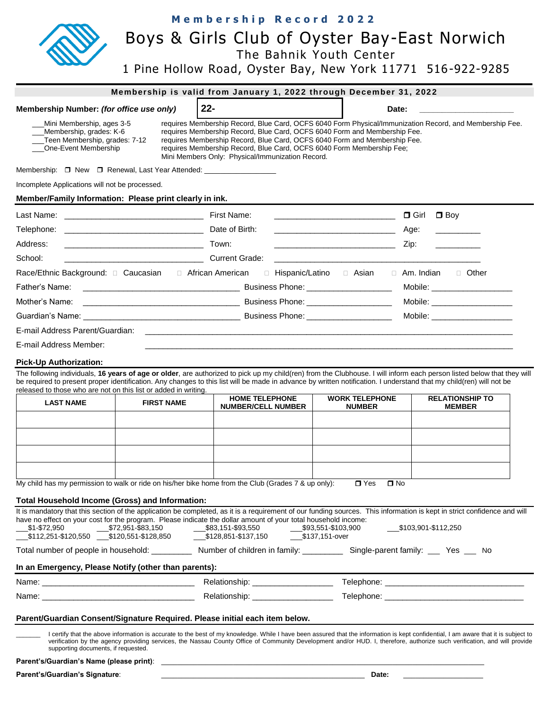| Membership Number: (for office use only)<br>Mini Membership, ages 3-5<br>Membership, grades: K-6<br>Teen Membership, grades: 7-12<br>One-Event Membership<br>Membership: □ New □ Renewal, Last Year Attended: _______________________________ |                   | $22 -$<br>requires Membership Record, Blue Card, OCFS 6040 Form Physical/Immunization Record, and Membership Fee.<br>requires Membership Record, Blue Card, OCFS 6040 Form and Membership Fee.                                                                                                                                                                                                      | Date:                                                                                                                |                                         |
|-----------------------------------------------------------------------------------------------------------------------------------------------------------------------------------------------------------------------------------------------|-------------------|-----------------------------------------------------------------------------------------------------------------------------------------------------------------------------------------------------------------------------------------------------------------------------------------------------------------------------------------------------------------------------------------------------|----------------------------------------------------------------------------------------------------------------------|-----------------------------------------|
|                                                                                                                                                                                                                                               |                   |                                                                                                                                                                                                                                                                                                                                                                                                     |                                                                                                                      |                                         |
|                                                                                                                                                                                                                                               |                   | requires Membership Record, Blue Card, OCFS 6040 Form Membership Fee;<br>Mini Members Only: Physical/Immunization Record.                                                                                                                                                                                                                                                                           | requires Membership Record, Blue Card, OCFS 6040 Form and Membership Fee.                                            |                                         |
|                                                                                                                                                                                                                                               |                   |                                                                                                                                                                                                                                                                                                                                                                                                     |                                                                                                                      |                                         |
| Incomplete Applications will not be processed.                                                                                                                                                                                                |                   |                                                                                                                                                                                                                                                                                                                                                                                                     |                                                                                                                      |                                         |
| Member/Family Information: Please print clearly in ink.                                                                                                                                                                                       |                   |                                                                                                                                                                                                                                                                                                                                                                                                     |                                                                                                                      |                                         |
|                                                                                                                                                                                                                                               |                   |                                                                                                                                                                                                                                                                                                                                                                                                     | <u> 1989 - Johann John Harry Harry Harry Harry Harry Harry Harry Harry Harry Harry Harry Harry Harry Harry Harry</u> | $\Box$ Boy<br>$\Box$ Girl               |
|                                                                                                                                                                                                                                               |                   |                                                                                                                                                                                                                                                                                                                                                                                                     | <u> 1990 - Johann Barbara, martin amerikan ba</u>                                                                    | Age:                                    |
| Address:                                                                                                                                                                                                                                      |                   |                                                                                                                                                                                                                                                                                                                                                                                                     | <u> 1980 - Johann John Stone, markin fan it ferstjer fan it ferstjer fan it ferstjer fan it ferstjer fan it fers</u> | Zip:                                    |
| School:                                                                                                                                                                                                                                       | Current Grade:    |                                                                                                                                                                                                                                                                                                                                                                                                     |                                                                                                                      |                                         |
|                                                                                                                                                                                                                                               |                   |                                                                                                                                                                                                                                                                                                                                                                                                     | □ Hispanic/Latino □ Asian □ Am. Indian □ Other                                                                       |                                         |
|                                                                                                                                                                                                                                               |                   |                                                                                                                                                                                                                                                                                                                                                                                                     |                                                                                                                      | Mobile: ___________________             |
| Mother's Name:                                                                                                                                                                                                                                |                   |                                                                                                                                                                                                                                                                                                                                                                                                     |                                                                                                                      | Mobile: ____________________            |
|                                                                                                                                                                                                                                               |                   |                                                                                                                                                                                                                                                                                                                                                                                                     |                                                                                                                      | Mobile: ____________________            |
| E-mail Address Parent/Guardian:                                                                                                                                                                                                               |                   |                                                                                                                                                                                                                                                                                                                                                                                                     |                                                                                                                      |                                         |
|                                                                                                                                                                                                                                               |                   |                                                                                                                                                                                                                                                                                                                                                                                                     |                                                                                                                      |                                         |
| <b>LAST NAME</b>                                                                                                                                                                                                                              | <b>FIRST NAME</b> | The following individuals, 16 years of age or older, are authorized to pick up my child(ren) from the Clubhouse. I will inform each person listed below that they will<br>be required to present proper identification. Any changes to this list will be made in advance by written notification. I understand that my child(ren) will not be<br><b>HOME TELEPHONE</b><br><b>NUMBER/CELL NUMBER</b> | <b>WORK TELEPHONE</b><br><b>NUMBER</b>                                                                               | <b>RELATIONSHIP TO</b><br><b>MEMBER</b> |
|                                                                                                                                                                                                                                               |                   |                                                                                                                                                                                                                                                                                                                                                                                                     |                                                                                                                      |                                         |
| E-mail Address Member:<br>Pick-Up Authorization:<br>released to those who are not on this list or added in writing.                                                                                                                           |                   |                                                                                                                                                                                                                                                                                                                                                                                                     |                                                                                                                      |                                         |
|                                                                                                                                                                                                                                               |                   | My child has my permission to walk or ride on his/her bike home from the Club (Grades 7 & up only):                                                                                                                                                                                                                                                                                                 | $\Box$ Yes<br>$\square$ No                                                                                           |                                         |
| Total Household Income (Gross) and Information:                                                                                                                                                                                               |                   |                                                                                                                                                                                                                                                                                                                                                                                                     |                                                                                                                      |                                         |
| \$1-\$72,950                                                                                                                                                                                                                                  |                   | It is mandatory that this section of the application be completed, as it is a requirement of our funding sources. This information is kept in strict confidence and will<br>have no effect on your cost for the program. Please indicate the dollar amount of your total household income:<br>$2\frac{$72,951-883,150}{2}$ \$83,151-\$93,550                                                        | 593,551-\$103,900<br>\$137,151-over                                                                                  | $$103,901 - $112,250$                   |
|                                                                                                                                                                                                                                               |                   | Total number of people in household: ____________ Number of children in family: __________ Single-parent family: ____ Yes ___ No                                                                                                                                                                                                                                                                    |                                                                                                                      |                                         |
|                                                                                                                                                                                                                                               |                   |                                                                                                                                                                                                                                                                                                                                                                                                     |                                                                                                                      |                                         |
|                                                                                                                                                                                                                                               |                   |                                                                                                                                                                                                                                                                                                                                                                                                     |                                                                                                                      |                                         |
| In an Emergency, Please Notify (other than parents):                                                                                                                                                                                          |                   | Relationship: _____________________                                                                                                                                                                                                                                                                                                                                                                 |                                                                                                                      |                                         |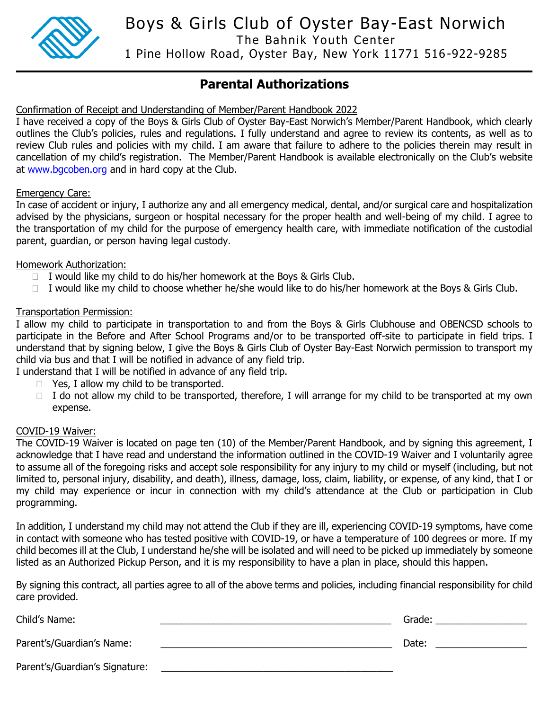

Boys & Girls Club of Oyster Bay-East Norwich

The Bahnik Youth Center

1 Pine Hollow Road, Oyster Bay, New York 11771 516 -922-9285

### **Parental Authorizations**

Confirmation of Receipt and Understanding of Member/Parent Handbook 2022

I have received a copy of the Boys & Girls Club of Oyster Bay-East Norwich's Member/Parent Handbook, which clearly outlines the Club's policies, rules and regulations. I fully understand and agree to review its contents, as well as to review Club rules and policies with my child. I am aware that failure to adhere to the policies therein may result in cancellation of my child's registration. The Member/Parent Handbook is available electronically on the Club's website at [www.bgcoben.org](http://www.bgcoben.org/) and in hard copy at the Club.

### Emergency Care:

In case of accident or injury, I authorize any and all emergency medical, dental, and/or surgical care and hospitalization advised by the physicians, surgeon or hospital necessary for the proper health and well-being of my child. I agree to the transportation of my child for the purpose of emergency health care, with immediate notification of the custodial parent, guardian, or person having legal custody.

### Homework Authorization:

- $\Box$  I would like my child to do his/her homework at the Boys & Girls Club.
- $\Box$  I would like my child to choose whether he/she would like to do his/her homework at the Boys & Girls Club.

### Transportation Permission:

I allow my child to participate in transportation to and from the Boys & Girls Clubhouse and OBENCSD schools to participate in the Before and After School Programs and/or to be transported off-site to participate in field trips. I understand that by signing below, I give the Boys & Girls Club of Oyster Bay-East Norwich permission to transport my child via bus and that I will be notified in advance of any field trip.

I understand that I will be notified in advance of any field trip.

- $\Box$  Yes, I allow my child to be transported.
- $\Box$  I do not allow my child to be transported, therefore, I will arrange for my child to be transported at my own expense.

#### COVID-19 Waiver:

The COVID-19 Waiver is located on page ten (10) of the Member/Parent Handbook, and by signing this agreement, I acknowledge that I have read and understand the information outlined in the COVID-19 Waiver and I voluntarily agree to assume all of the foregoing risks and accept sole responsibility for any injury to my child or myself (including, but not limited to, personal injury, disability, and death), illness, damage, loss, claim, liability, or expense, of any kind, that I or my child may experience or incur in connection with my child's attendance at the Club or participation in Club programming.

In addition, I understand my child may not attend the Club if they are ill, experiencing COVID-19 symptoms, have come in contact with someone who has tested positive with COVID-19, or have a temperature of 100 degrees or more. If my child becomes ill at the Club, I understand he/she will be isolated and will need to be picked up immediately by someone listed as an Authorized Pickup Person, and it is my responsibility to have a plan in place, should this happen.

By signing this contract, all parties agree to all of the above terms and policies, including financial responsibility for child care provided.

Child's Name: \_\_\_\_\_\_\_\_\_\_\_\_\_\_\_\_\_\_\_\_\_\_\_\_\_\_\_\_\_\_\_\_\_\_\_\_\_\_\_\_\_\_\_ Grade: \_\_\_\_\_\_\_\_\_\_\_\_\_\_\_\_\_ Parent's/Guardian's Name: \_\_\_\_\_\_\_\_\_\_\_\_\_\_\_\_\_\_\_\_\_\_\_\_\_\_\_\_\_\_\_\_\_\_\_\_\_\_\_\_\_\_\_ Date: \_\_\_\_\_\_\_\_\_\_\_\_\_\_\_\_\_ Parent's/Guardian's Signature: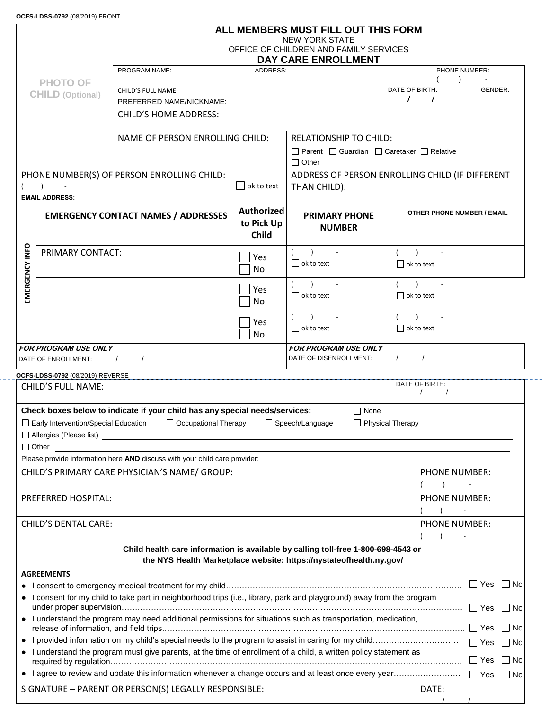### **ALL MEMBERS MUST FILL OUT THIS FORM**

NEW YORK STATE

OFFICE OF CHILDREN AND FAMILY SERVICES

|                |                                  |                                                                                                                        |                                                                 | DAY CARE ENROLLMENT                                                 |                   |                                   |                      |  |  |
|----------------|----------------------------------|------------------------------------------------------------------------------------------------------------------------|-----------------------------------------------------------------|---------------------------------------------------------------------|-------------------|-----------------------------------|----------------------|--|--|
|                |                                  | PROGRAM NAME:                                                                                                          | <b>ADDRESS:</b>                                                 |                                                                     |                   | PHONE NUMBER:                     |                      |  |  |
|                | <b>PHOTO OF</b>                  | CHILD'S FULL NAME:                                                                                                     |                                                                 |                                                                     | DATE OF BIRTH:    | $\rightarrow$                     | GENDER:              |  |  |
|                | <b>CHILD (Optional)</b>          | PREFERRED NAME/NICKNAME:                                                                                               |                                                                 |                                                                     | $\sqrt{2}$        | $\prime$                          |                      |  |  |
|                |                                  | <b>CHILD'S HOME ADDRESS:</b>                                                                                           |                                                                 |                                                                     |                   |                                   |                      |  |  |
|                |                                  |                                                                                                                        |                                                                 |                                                                     |                   |                                   |                      |  |  |
|                |                                  | NAME OF PERSON ENROLLING CHILD:                                                                                        |                                                                 | <b>RELATIONSHIP TO CHILD:</b>                                       |                   |                                   |                      |  |  |
|                |                                  |                                                                                                                        |                                                                 | □ Parent □ Guardian □ Caretaker □ Relative _____                    |                   |                                   |                      |  |  |
|                |                                  |                                                                                                                        |                                                                 |                                                                     |                   |                                   |                      |  |  |
|                | $\rightarrow$                    | PHONE NUMBER(S) OF PERSON ENROLLING CHILD:                                                                             | ADDRESS OF PERSON ENROLLING CHILD (IF DIFFERENT<br>THAN CHILD): |                                                                     |                   |                                   |                      |  |  |
|                | <b>EMAIL ADDRESS:</b>            |                                                                                                                        | $\bigsqcup$ ok to text                                          |                                                                     |                   |                                   |                      |  |  |
|                |                                  | <b>EMERGENCY CONTACT NAMES / ADDRESSES</b>                                                                             | <b>Authorized</b>                                               | <b>PRIMARY PHONE</b>                                                |                   | <b>OTHER PHONE NUMBER / EMAIL</b> |                      |  |  |
|                |                                  |                                                                                                                        | to Pick Up                                                      | <b>NUMBER</b>                                                       |                   |                                   |                      |  |  |
|                |                                  |                                                                                                                        | <b>Child</b>                                                    |                                                                     |                   |                                   |                      |  |  |
|                | PRIMARY CONTACT:                 |                                                                                                                        |                                                                 | $( )$ ) -                                                           | $( )$ $-$         |                                   |                      |  |  |
|                |                                  |                                                                                                                        | Yes<br>No                                                       | $\Box$ ok to text                                                   | $\Box$ ok to text |                                   |                      |  |  |
|                |                                  |                                                                                                                        |                                                                 | $( )$ $-$                                                           | $( )$ $-$         |                                   |                      |  |  |
| EMERGENCY INFO |                                  |                                                                                                                        | Yes                                                             | $\Box$ ok to text                                                   | $\Box$ ok to text |                                   |                      |  |  |
|                |                                  |                                                                                                                        | No                                                              |                                                                     |                   |                                   |                      |  |  |
|                |                                  |                                                                                                                        | Yes                                                             | $( )$ $-$                                                           | $( )$ ) $-$       |                                   |                      |  |  |
|                |                                  |                                                                                                                        | No                                                              | $\Box$ ok to text                                                   | $\Box$ ok to text |                                   |                      |  |  |
|                | <b>FOR PROGRAM USE ONLY</b>      |                                                                                                                        |                                                                 | <b>FOR PROGRAM USE ONLY</b>                                         |                   |                                   |                      |  |  |
|                | DATE OF ENROLLMENT:              | $\frac{1}{2}$<br>$\sqrt{2}$                                                                                            |                                                                 | DATE OF DISENROLLMENT:                                              | $\sqrt{1}$        |                                   |                      |  |  |
|                | OCFS-LDSS-0792 (08/2019) REVERSE |                                                                                                                        |                                                                 |                                                                     | DATE OF BIRTH:    |                                   |                      |  |  |
|                | <b>CHILD'S FULL NAME:</b>        |                                                                                                                        |                                                                 |                                                                     |                   | $\sqrt{1}$                        |                      |  |  |
|                |                                  | Check boxes below to indicate if your child has any special needs/services:                                            |                                                                 | $\Box$ None                                                         |                   |                                   |                      |  |  |
|                |                                  | □ Early Intervention/Special Education □ Occupational Therapy                                                          |                                                                 | □ Speech/Language                                                   | Physical Therapy  |                                   |                      |  |  |
|                |                                  |                                                                                                                        |                                                                 |                                                                     |                   |                                   |                      |  |  |
|                | $\Box$ Other                     |                                                                                                                        |                                                                 |                                                                     |                   |                                   |                      |  |  |
|                |                                  | Please provide information here AND discuss with your child care provider:                                             |                                                                 |                                                                     |                   |                                   |                      |  |  |
|                |                                  | CHILD'S PRIMARY CARE PHYSICIAN'S NAME/ GROUP:                                                                          |                                                                 |                                                                     |                   | PHONE NUMBER:                     |                      |  |  |
|                |                                  |                                                                                                                        |                                                                 |                                                                     |                   |                                   |                      |  |  |
|                | PREFERRED HOSPITAL:              |                                                                                                                        |                                                                 |                                                                     |                   | <b>PHONE NUMBER:</b>              |                      |  |  |
|                | <b>CHILD'S DENTAL CARE:</b>      |                                                                                                                        |                                                                 |                                                                     |                   | <b>PHONE NUMBER:</b>              |                      |  |  |
|                |                                  |                                                                                                                        |                                                                 |                                                                     |                   |                                   |                      |  |  |
|                |                                  | Child health care information is available by calling toll-free 1-800-698-4543 or                                      |                                                                 |                                                                     |                   |                                   |                      |  |  |
|                |                                  |                                                                                                                        |                                                                 | the NYS Health Marketplace website: https://nystateofhealth.ny.gov/ |                   |                                   |                      |  |  |
|                | <b>AGREEMENTS</b>                |                                                                                                                        |                                                                 |                                                                     |                   |                                   |                      |  |  |
|                |                                  |                                                                                                                        |                                                                 |                                                                     |                   |                                   | $\Box$ Yes $\Box$ No |  |  |
|                |                                  | • I consent for my child to take part in neighborhood trips (i.e., library, park and playground) away from the program |                                                                 |                                                                     |                   | $\Box$ Yes                        | $\Box$ No            |  |  |
|                |                                  | • I understand the program may need additional permissions for situations such as transportation, medication,          |                                                                 |                                                                     |                   | $\Box$ Yes                        | $\Box$ No            |  |  |
|                |                                  |                                                                                                                        |                                                                 |                                                                     |                   | $\Box$ Yes                        | $\Box$ No            |  |  |
|                |                                  | • I understand the program must give parents, at the time of enrollment of a child, a written policy statement as      |                                                                 |                                                                     |                   | $\Box$ Yes                        | $\Box$ No            |  |  |
|                |                                  | • I agree to review and update this information whenever a change occurs and at least once every year                  |                                                                 |                                                                     |                   | $\Box$ Yes                        | ∣ ∣No                |  |  |
|                |                                  | SIGNATURE - PARENT OR PERSON(S) LEGALLY RESPONSIBLE:                                                                   |                                                                 |                                                                     |                   | DATE:                             |                      |  |  |

/ /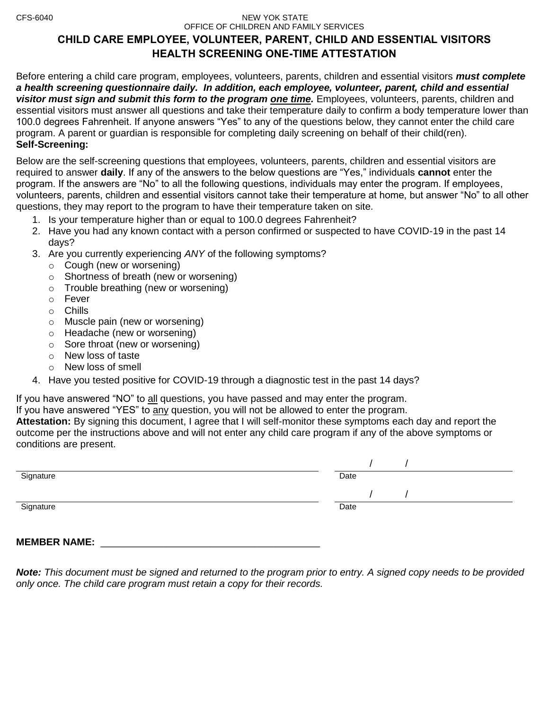#### CFS-6040 NEW YOK STATE OFFICE OF CHILDREN AND FAMILY SERVICES

### **CHILD CARE EMPLOYEE, VOLUNTEER, PARENT, CHILD AND ESSENTIAL VISITORS HEALTH SCREENING ONE-TIME ATTESTATION**

Before entering a child care program, employees, volunteers, parents, children and essential visitors *must complete a health screening questionnaire daily. In addition, each employee, volunteer, parent, child and essential visitor must sign and submit this form to the program one time.* Employees, volunteers, parents, children and essential visitors must answer all questions and take their temperature daily to confirm a body temperature lower than 100.0 degrees Fahrenheit. If anyone answers "Yes" to any of the questions below, they cannot enter the child care program. A parent or guardian is responsible for completing daily screening on behalf of their child(ren). **Self-Screening:**

Below are the self-screening questions that employees, volunteers, parents, children and essential visitors are required to answer **daily**. If any of the answers to the below questions are "Yes," individuals **cannot** enter the program. If the answers are "No" to all the following questions, individuals may enter the program. If employees, volunteers, parents, children and essential visitors cannot take their temperature at home, but answer "No" to all other questions, they may report to the program to have their temperature taken on site.

- 1. Is your temperature higher than or equal to 100.0 degrees Fahrenheit?
- 2. Have you had any known contact with a person confirmed or suspected to have COVID-19 in the past 14 days?
- 3. Are you currently experiencing *ANY* of the following symptoms?
	- o Cough (new or worsening)
	- o Shortness of breath (new or worsening)
	- o Trouble breathing (new or worsening)
	- o Fever
	- o Chills
	- o Muscle pain (new or worsening)
	- o Headache (new or worsening)
	- $\circ$  Sore throat (new or worsening)
	- o New loss of taste
	- o New loss of smell
- 4. Have you tested positive for COVID-19 through a diagnostic test in the past 14 days?

If you have answered "NO" to all questions, you have passed and may enter the program.

If you have answered "YES" to any question, you will not be allowed to enter the program.

**Attestation:** By signing this document, I agree that I will self-monitor these symptoms each day and report the outcome per the instructions above and will not enter any child care program if any of the above symptoms or conditions are present.

| Signature | Date |
|-----------|------|
|           |      |
| Signature | Date |
|           |      |
|           |      |

**MEMBER NAME:** 

*Note: This document must be signed and returned to the program prior to entry. A signed copy needs to be provided only once. The child care program must retain a copy for their records.*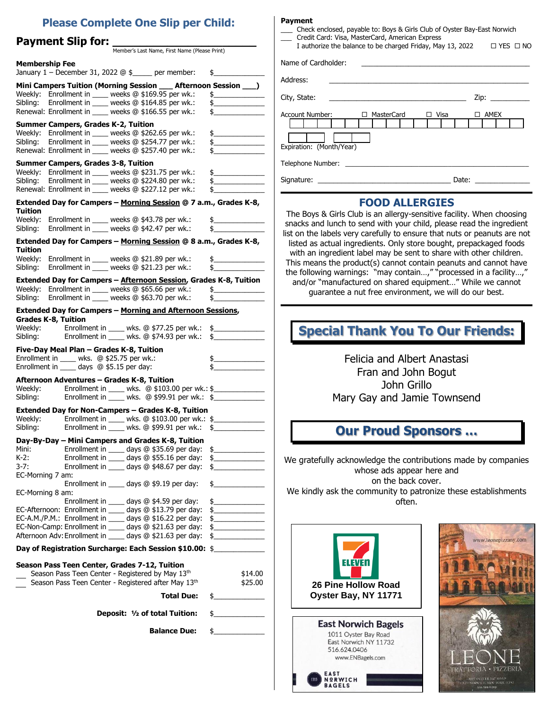### **Please Complete One Slip per Child:**

Member's Last Name, First Name (Please Print)

### **Payment Slip for: \_\_\_\_\_\_\_\_\_\_\_\_\_\_\_\_\_\_\_\_\_**

| <b>Membership Fee</b><br>January $1$ – December 31, 2022 $@$ \$____ per member:                                                                                           | $\frac{1}{2}$                                                                                                                                                                                                                                                                                                                                                       |
|---------------------------------------------------------------------------------------------------------------------------------------------------------------------------|---------------------------------------------------------------------------------------------------------------------------------------------------------------------------------------------------------------------------------------------------------------------------------------------------------------------------------------------------------------------|
| Mini Campers Tuition (Morning Session __ Afternoon Session __)                                                                                                            |                                                                                                                                                                                                                                                                                                                                                                     |
| Weekly: Enrollment in ____ weeks @ \$169.95 per wk.:                                                                                                                      | $\frac{1}{2}$                                                                                                                                                                                                                                                                                                                                                       |
|                                                                                                                                                                           | $\frac{1}{2}$                                                                                                                                                                                                                                                                                                                                                       |
| Sibling: Enrollment in ____ weeks @ \$164.85 per wk.:<br>Renewal: Enrollment in ____ weeks @ \$166.55 per wk.:                                                            | $\frac{1}{2}$                                                                                                                                                                                                                                                                                                                                                       |
| <b>Summer Campers, Grades K-2, Tuition</b>                                                                                                                                |                                                                                                                                                                                                                                                                                                                                                                     |
| Weekly: Enrollment in ____ weeks @ \$262.65 per wk.:                                                                                                                      | $\frac{1}{2}$                                                                                                                                                                                                                                                                                                                                                       |
| Sibling: Enrollment in ____ weeks @ \$254.77 per wk.:                                                                                                                     | $\begin{picture}(20,20) \put(0,0){\vector(1,0){100}} \put(15,0){\vector(1,0){100}} \put(15,0){\vector(1,0){100}} \put(15,0){\vector(1,0){100}} \put(15,0){\vector(1,0){100}} \put(15,0){\vector(1,0){100}} \put(15,0){\vector(1,0){100}} \put(15,0){\vector(1,0){100}} \put(15,0){\vector(1,0){100}} \put(15,0){\vector(1,0){100}} \put(15,0){\vector(1,0){100}} \$ |
| Renewal: Enrollment in ____ weeks @ \$257.40 per wk.:                                                                                                                     | $\frac{1}{2}$                                                                                                                                                                                                                                                                                                                                                       |
| <b>Summer Campers, Grades 3-8, Tuition</b>                                                                                                                                |                                                                                                                                                                                                                                                                                                                                                                     |
| Weekly: Enrollment in ____ weeks @ \$231.75 per wk.:                                                                                                                      | $\begin{array}{c c} \n\end{array}$                                                                                                                                                                                                                                                                                                                                  |
| Sibling: Enrollment in ____ weeks @ \$224.80 per wk.:                                                                                                                     | $\frac{1}{2}$                                                                                                                                                                                                                                                                                                                                                       |
| Renewal: Enrollment in ____ weeks @ \$227.12 per wk.:                                                                                                                     | $\frac{1}{2}$                                                                                                                                                                                                                                                                                                                                                       |
| Extended Day for Campers - Morning Session @ 7 a.m., Grades K-8,                                                                                                          |                                                                                                                                                                                                                                                                                                                                                                     |
| Tuition                                                                                                                                                                   |                                                                                                                                                                                                                                                                                                                                                                     |
| Weekly: Enrollment in ____ weeks @ \$43.78 per wk.: \$_____________                                                                                                       |                                                                                                                                                                                                                                                                                                                                                                     |
| Sibling: Enrollment in ____ weeks @ \$42.47 per wk.: \$____________                                                                                                       |                                                                                                                                                                                                                                                                                                                                                                     |
| Extended Day for Campers - Morning Session @ 8 a.m., Grades K-8,                                                                                                          |                                                                                                                                                                                                                                                                                                                                                                     |
| Tuition                                                                                                                                                                   |                                                                                                                                                                                                                                                                                                                                                                     |
| Weekly: Enrollment in _____ weeks @ \$21.89 per wk.:                                                                                                                      | $\sim$                                                                                                                                                                                                                                                                                                                                                              |
| Sibling: Enrollment in ____ weeks @ \$21.23 per wk.:                                                                                                                      | $\frac{1}{2}$                                                                                                                                                                                                                                                                                                                                                       |
| Extended Day for Campers - Afternoon Session, Grades K-8, Tuition                                                                                                         |                                                                                                                                                                                                                                                                                                                                                                     |
| Weekly: Enrollment in $\_\_\$ weeks $@$ \$65.66 per wk.: $$\_\$$                                                                                                          |                                                                                                                                                                                                                                                                                                                                                                     |
| Sibling: Enrollment in ____ weeks @ \$63.70 per wk.:                                                                                                                      | $\frac{1}{2}$                                                                                                                                                                                                                                                                                                                                                       |
| Extended Day for Campers - Morning and Afternoon Sessions,                                                                                                                |                                                                                                                                                                                                                                                                                                                                                                     |
| <b>Grades K-8, Tuition</b>                                                                                                                                                |                                                                                                                                                                                                                                                                                                                                                                     |
| Weekly: Enrollment in ____ wks. @ \$77.25 per wk.: \$_____________                                                                                                        |                                                                                                                                                                                                                                                                                                                                                                     |
| Sibling: Enrollment in ____ wks. @ \$74.93 per wk.: \$                                                                                                                    |                                                                                                                                                                                                                                                                                                                                                                     |
| Five-Day Meal Plan - Grades K-8, Tuition                                                                                                                                  |                                                                                                                                                                                                                                                                                                                                                                     |
| Enrollment in ____ wks. @ \$25.75 per wk.:                                                                                                                                | $\frac{1}{2}$                                                                                                                                                                                                                                                                                                                                                       |
| Enrollment in _____ days @ \$5.15 per day:                                                                                                                                | $\frac{1}{2}$                                                                                                                                                                                                                                                                                                                                                       |
| Afternoon Adventures – Grades K-8, Tuition                                                                                                                                |                                                                                                                                                                                                                                                                                                                                                                     |
| Weekly: Enrollment in _____ wks. @ \$103.00 per wk.: \$____________________________<br>Sibling: Enrollment in _____ wks. @ \$99.91 per wk.: \$___________________________ |                                                                                                                                                                                                                                                                                                                                                                     |
|                                                                                                                                                                           |                                                                                                                                                                                                                                                                                                                                                                     |
| Extended Day for Non-Campers - Grades K-8, Tuition                                                                                                                        |                                                                                                                                                                                                                                                                                                                                                                     |
| Weekly: Enrollment in ____ wks. @ \$103.00 per wk.: \$_____________                                                                                                       |                                                                                                                                                                                                                                                                                                                                                                     |
| Sibling: Enrollment in ____ wks. @ \$99.91 per wk.: \$_____________                                                                                                       |                                                                                                                                                                                                                                                                                                                                                                     |
| Day-By-Day – Mini Campers and Grades K-8, Tuition                                                                                                                         |                                                                                                                                                                                                                                                                                                                                                                     |
| Mini:                                                                                                                                                                     |                                                                                                                                                                                                                                                                                                                                                                     |
| Enrollment in $\frac{1}{\sqrt{2}}$ days $\overline{\text{Q}}$ \$55.16 per day: $\overline{\text{S}}$<br>$K-2$ :                                                           |                                                                                                                                                                                                                                                                                                                                                                     |
| $3 - 7:$                                                                                                                                                                  | $\frac{1}{2}$                                                                                                                                                                                                                                                                                                                                                       |
| EC-Morning 7 am:<br>Enrollment in _____ days @ \$9.19 per day:                                                                                                            |                                                                                                                                                                                                                                                                                                                                                                     |
| EC-Morning 8 am:                                                                                                                                                          | $\frac{1}{2}$                                                                                                                                                                                                                                                                                                                                                       |
| Enrollment in _____ days @ \$4.59 per day:                                                                                                                                | $\frac{1}{2}$                                                                                                                                                                                                                                                                                                                                                       |
| EC-Afternoon: Enrollment in ____ days @ \$13.79 per day:                                                                                                                  | $\frac{1}{2}$                                                                                                                                                                                                                                                                                                                                                       |
| EC-A.M./P.M.: Enrollment in ____ days @ \$16.22 per day:                                                                                                                  | $\frac{1}{2}$                                                                                                                                                                                                                                                                                                                                                       |
| EC-Non-Camp: Enrollment in ____ days @ \$21.63 per day:                                                                                                                   | $\frac{1}{2}$                                                                                                                                                                                                                                                                                                                                                       |
| Afternoon Adv: Enrollment in ____ days @ \$21.63 per day:                                                                                                                 | $\frac{1}{2}$                                                                                                                                                                                                                                                                                                                                                       |
| Day of Registration Surcharge: Each Session \$10.00: \$                                                                                                                   |                                                                                                                                                                                                                                                                                                                                                                     |
|                                                                                                                                                                           |                                                                                                                                                                                                                                                                                                                                                                     |
| Season Pass Teen Center, Grades 7-12, Tuition                                                                                                                             |                                                                                                                                                                                                                                                                                                                                                                     |
| Season Pass Teen Center - Registered by May 13th<br>Season Pass Teen Center - Registered after May 13th                                                                   | \$14.00<br>\$25.00                                                                                                                                                                                                                                                                                                                                                  |
|                                                                                                                                                                           |                                                                                                                                                                                                                                                                                                                                                                     |
| <b>Total Due:</b>                                                                                                                                                         | $\frac{1}{2}$                                                                                                                                                                                                                                                                                                                                                       |
| Deposit: 1/2 of total Tuition:                                                                                                                                            | $\frac{1}{2}$                                                                                                                                                                                                                                                                                                                                                       |
|                                                                                                                                                                           |                                                                                                                                                                                                                                                                                                                                                                     |
| <b>Balance Due:</b>                                                                                                                                                       | $\frac{1}{2}$                                                                                                                                                                                                                                                                                                                                                       |
|                                                                                                                                                                           |                                                                                                                                                                                                                                                                                                                                                                     |
|                                                                                                                                                                           |                                                                                                                                                                                                                                                                                                                                                                     |

#### **Payment**

|  |  | Check enclosed, payable to: Boys & Girls Club of Oyster Bay-East Norwich |
|--|--|--------------------------------------------------------------------------|

\_\_\_ Credit Card: Visa, MasterCard, American Express

| I authorize the balance to be charged Friday, May 13, 2022  | $\Box$ YES $\Box$ NO |
|-------------------------------------------------------------|----------------------|
| Name of Cardholder:                                         |                      |
| Address:                                                    |                      |
| City, State:                                                |                      |
| <b>Account Number:</b><br>MasterCard<br>Visa<br>$\Box$<br>п | AMEX<br>п            |
| Expiration: (Month/Year)                                    |                      |
| Telephone Number:                                           |                      |

#### Signature: \_\_\_\_\_\_\_\_\_\_\_\_\_\_\_\_\_\_\_\_\_\_\_\_\_\_\_\_\_\_\_\_\_\_ Date: \_\_\_\_\_\_\_\_\_\_\_\_\_\_

#### **FOOD ALLERGIES**

The Boys & Girls Club is an allergy-sensitive facility. When choosing snacks and lunch to send with your child, please read the ingredient list on the labels very carefully to ensure that nuts or peanuts are not listed as actual ingredients. Only store bought, prepackaged foods with an ingredient label may be sent to share with other children. This means the product(s) cannot contain peanuts and cannot have the following warnings: "may contain…," "processed in a facility…," and/or "manufactured on shared equipment…" While we cannot guarantee a nut free environment, we will do our best.

### **Special Thank You To Our Friends:**

Felicia and Albert Anastasi Fran and John Bogut John Grillo Mary Gay and Jamie Townsend

### **Our Proud Sponsors …**

We gratefully acknowledge the contributions made by companies whose ads appear here and on the back cover. We kindly ask the community to patronize these establishments often.